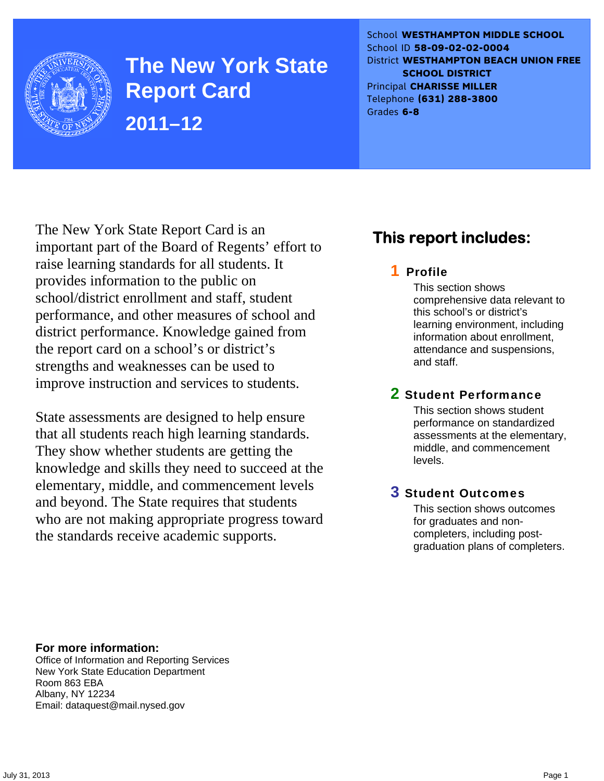

**The New York State Report Card 2011–12** 

School **WESTHAMPTON MIDDLE SCHOOL** School ID **58-09-02-02-0004** District **WESTHAMPTON BEACH UNION FREE SCHOOL DISTRICT** Principal **CHARISSE MILLER** Telephone **(631) 288-3800** Grades **6-8**

The New York State Report Card is an important part of the Board of Regents' effort to raise learning standards for all students. It provides information to the public on school/district enrollment and staff, student performance, and other measures of school and district performance. Knowledge gained from the report card on a school's or district's strengths and weaknesses can be used to improve instruction and services to students.

State assessments are designed to help ensure that all students reach high learning standards. They show whether students are getting the knowledge and skills they need to succeed at the elementary, middle, and commencement levels and beyond. The State requires that students who are not making appropriate progress toward the standards receive academic supports.

### **This report includes:**

### 1 Profile

This section shows comprehensive data relevant to this school's or district's learning environment, including information about enrollment, attendance and suspensions, and staff.

### 2 Student Performance

This section shows student performance on standardized assessments at the elementary, middle, and commencement levels.

### 3 Student Outcomes

This section shows outcomes for graduates and noncompleters, including postgraduation plans of completers.

**For more information:**  Office of Information and Reporting Services New York State Education Department Room 863 EBA Albany, NY 12234

Email: dataquest@mail.nysed.gov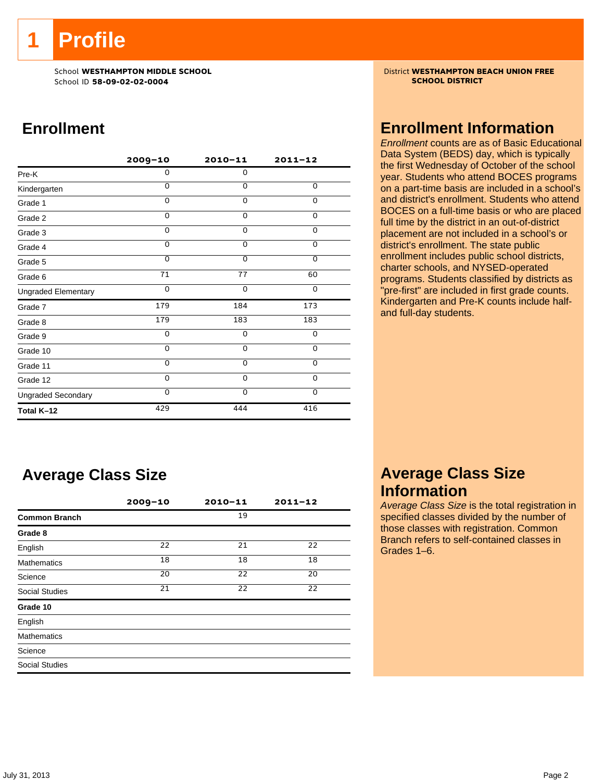**1 Profile** 

School ID **58-09-02-02-0004 SCHOOL DISTRICT**

### **Enrollment**

|                            | $2009 - 10$ | $2010 - 11$    | $2011 - 12$    |
|----------------------------|-------------|----------------|----------------|
| Pre-K                      | 0           | $\mathbf 0$    |                |
| Kindergarten               | $\Omega$    | $\Omega$       | 0              |
| Grade 1                    | $\Omega$    | $\Omega$       | 0              |
| Grade 2                    | 0           | 0              | 0              |
| Grade 3                    | $\Omega$    | 0              | 0              |
| Grade 4                    | $\Omega$    | $\mathbf 0$    | $\overline{0}$ |
| Grade 5                    | $\Omega$    | $\overline{0}$ | $\overline{0}$ |
| Grade 6                    | 71          | 77             | 60             |
| <b>Ungraded Elementary</b> | $\Omega$    | $\Omega$       | $\Omega$       |
| Grade 7                    | 179         | 184            | 173            |
| Grade 8                    | 179         | 183            | 183            |
| Grade 9                    | 0           | 0              | 0              |
| Grade 10                   | 0           | 0              | 0              |
| Grade 11                   | $\Omega$    | $\mathbf 0$    | $\mathbf 0$    |
| Grade 12                   | $\Omega$    | $\Omega$       | $\Omega$       |
| <b>Ungraded Secondary</b>  | $\Omega$    | $\Omega$       | $\Omega$       |
| Total K-12                 | 429         | 444            | 416            |

### **Average Class Size**

|                       | $2009 - 10$ | 2010-11 | $2011 - 12$ |
|-----------------------|-------------|---------|-------------|
| <b>Common Branch</b>  |             | 19      |             |
| Grade 8               |             |         |             |
| English               | 22          | 21      | 22          |
| <b>Mathematics</b>    | 18          | 18      | 18          |
| Science               | 20          | 22      | 20          |
| <b>Social Studies</b> | 21          | 22      | 22          |
| Grade 10              |             |         |             |
| English               |             |         |             |
| <b>Mathematics</b>    |             |         |             |
| Science               |             |         |             |
| <b>Social Studies</b> |             |         |             |

School **WESTHAMPTON MIDDLE SCHOOL**<br>School ID 58-09-02-020404 **District WESTHAMPTON BEACH UNION FREE** 

### **Enrollment Information**

*Enrollment* counts are as of Basic Educational Data System (BEDS) day, which is typically the first Wednesday of October of the school year. Students who attend BOCES programs on a part-time basis are included in a school's and district's enrollment. Students who attend BOCES on a full-time basis or who are placed full time by the district in an out-of-district placement are not included in a school's or district's enrollment. The state public enrollment includes public school districts, charter schools, and NYSED-operated programs. Students classified by districts as "pre-first" are included in first grade counts. Kindergarten and Pre-K counts include halfand full-day students.

### **Average Class Size Information**

*Average Class Size* is the total registration in specified classes divided by the number of those classes with registration. Common Branch refers to self-contained classes in Grades 1–6.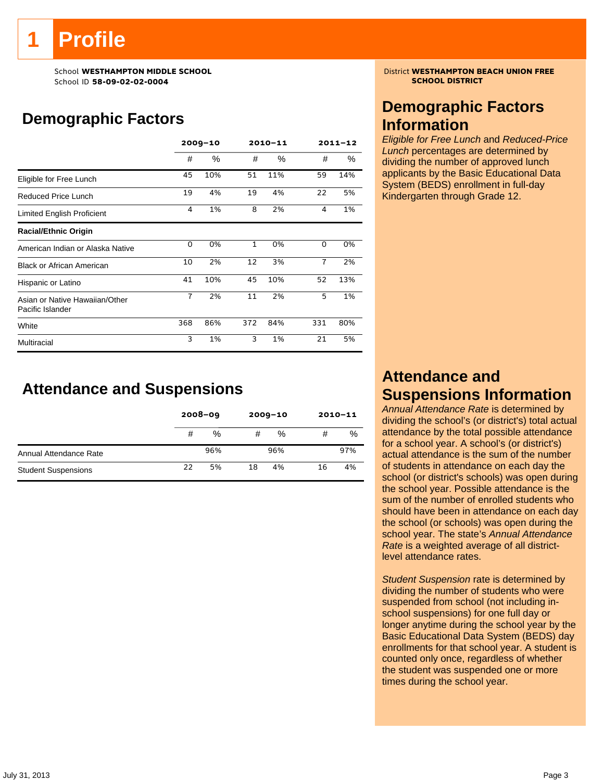# **Profile**

School ID **58-09-02-02-0004 SCHOOL DISTRICT**

### **Demographic Factors**

|                                                    |                | $2009 - 10$ |              | 2010-11 |                | $2011 - 12$ |
|----------------------------------------------------|----------------|-------------|--------------|---------|----------------|-------------|
|                                                    | #              | $\%$        | #            | %       | #              | %           |
| Eligible for Free Lunch                            | 45             | 10%         | 51           | 11%     | 59             | 14%         |
| Reduced Price Lunch                                | 19             | 4%          | 19           | 4%      | 22             | 5%          |
| Limited English Proficient                         | 4              | 1%          | 8            | 2%      | 4              | 1%          |
| <b>Racial/Ethnic Origin</b>                        |                |             |              |         |                |             |
| American Indian or Alaska Native                   | 0              | 0%          | $\mathbf{1}$ | 0%      | 0              | 0%          |
| <b>Black or African American</b>                   | 10             | 2%          | 12           | 3%      | $\overline{7}$ | 2%          |
| Hispanic or Latino                                 | 41             | 10%         | 45           | 10%     | 52             | 13%         |
| Asian or Native Hawaiian/Other<br>Pacific Islander | $\overline{1}$ | 2%          | 11           | 2%      | 5              | 1%          |
| White                                              | 368            | 86%         | 372          | 84%     | 331            | 80%         |
| Multiracial                                        | 3              | 1%          | 3            | 1%      | 21             | 5%          |

### **Attendance and Suspensions**

|                            |    | $2008 - 09$ | $2009 - 10$ |     |    | $2010 - 11$ |
|----------------------------|----|-------------|-------------|-----|----|-------------|
|                            | #  | %           | #           | %   | #  | %           |
| Annual Attendance Rate     |    | 96%         |             | 96% |    | 97%         |
| <b>Student Suspensions</b> | 22 | 5%          | 18          | 4%  | 16 | 4%          |

School **WESTHAMPTON MIDDLE SCHOOL**<br>School ID 58-09-02-020404 **District WESTHAMPTON BEACH UNION FREE** 

### **Demographic Factors Information**

*Eligible for Free Lunch* and *Reduced-Price Lunch* percentages are determined by dividing the number of approved lunch applicants by the Basic Educational Data System (BEDS) enrollment in full-day Kindergarten through Grade 12.

### **Attendance and Suspensions Information**

*Annual Attendance Rate* is determined by dividing the school's (or district's) total actual attendance by the total possible attendance for a school year. A school's (or district's) actual attendance is the sum of the number of students in attendance on each day the school (or district's schools) was open during the school year. Possible attendance is the sum of the number of enrolled students who should have been in attendance on each day the school (or schools) was open during the school year. The state's *Annual Attendance Rate* is a weighted average of all districtlevel attendance rates.

*Student Suspension* rate is determined by dividing the number of students who were suspended from school (not including inschool suspensions) for one full day or longer anytime during the school year by the Basic Educational Data System (BEDS) day enrollments for that school year. A student is counted only once, regardless of whether the student was suspended one or more times during the school year.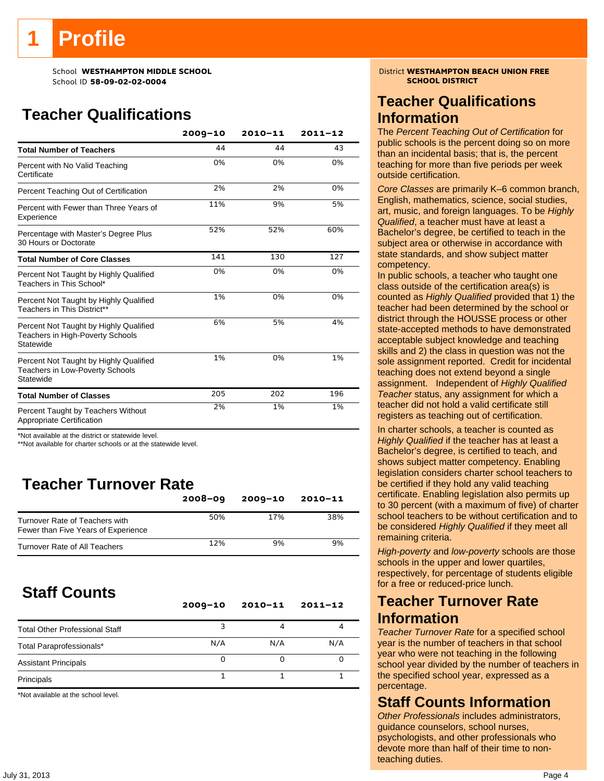# **Profile**

School ID **58-09-02-02-0004 SCHOOL DISTRICT**

### **Teacher Qualifications**

|                                                                                               | $2009 - 10$ | $2010 - 11$ | $2011 - 12$ |
|-----------------------------------------------------------------------------------------------|-------------|-------------|-------------|
| <b>Total Number of Teachers</b>                                                               | 44          | 44          | 43          |
| Percent with No Valid Teaching<br>Certificate                                                 | 0%          | 0%          | 0%          |
| Percent Teaching Out of Certification                                                         | 2%          | 2%          | 0%          |
| Percent with Fewer than Three Years of<br>Experience                                          | 11%         | 9%          | 5%          |
| Percentage with Master's Degree Plus<br>30 Hours or Doctorate                                 | 52%         | 52%         | 60%         |
| <b>Total Number of Core Classes</b>                                                           | 141         | 130         | 127         |
| Percent Not Taught by Highly Qualified<br>Teachers in This School*                            | 0%          | 0%          | 0%          |
| Percent Not Taught by Highly Qualified<br>Teachers in This District**                         | 1%          | 0%          | 0%          |
| Percent Not Taught by Highly Qualified<br>Teachers in High-Poverty Schools<br>Statewide       | 6%          | 5%          | 4%          |
| Percent Not Taught by Highly Qualified<br><b>Teachers in Low-Poverty Schools</b><br>Statewide | 1%          | 0%          | 1%          |
| <b>Total Number of Classes</b>                                                                | 205         | 202         | 196         |
| Percent Taught by Teachers Without<br>Appropriate Certification                               | 2%          | 1%          | 1%          |

\*Not available at the district or statewide level.

\*\*Not available for charter schools or at the statewide level.

### **Teacher Turnover Rate**

|                                                                       | $2008 - 09$ | $2009 - 10$ | 2010-11 |
|-----------------------------------------------------------------------|-------------|-------------|---------|
| Turnover Rate of Teachers with<br>Fewer than Five Years of Experience | 50%         | 17%         | 38%     |
| Turnover Rate of All Teachers                                         | 12%         | 9%          | 9%      |

### **Staff Counts**

|                                       | $2009 - 10$ | $2010 - 11$ | $2011 - 12$ |
|---------------------------------------|-------------|-------------|-------------|
| <b>Total Other Professional Staff</b> |             |             |             |
| Total Paraprofessionals*              | N/A         | N/A         | N/A         |
| <b>Assistant Principals</b>           | Ω           |             |             |
| Principals                            |             |             |             |

\*Not available at the school level.

### School **WESTHAMPTON MIDDLE SCHOOL**<br>School ID 58-09-02-02004 **District WESTHAMPTON BEACH UNION FREE**

### **Teacher Qualifications Information**

The *Percent Teaching Out of Certification* for public schools is the percent doing so on more than an incidental basis; that is, the percent teaching for more than five periods per week outside certification.

*Core Classes* are primarily K–6 common branch, English, mathematics, science, social studies, art, music, and foreign languages. To be *Highly Qualified*, a teacher must have at least a Bachelor's degree, be certified to teach in the subject area or otherwise in accordance with state standards, and show subject matter competency.

In public schools, a teacher who taught one class outside of the certification area(s) is counted as *Highly Qualified* provided that 1) the teacher had been determined by the school or district through the HOUSSE process or other state-accepted methods to have demonstrated acceptable subject knowledge and teaching skills and 2) the class in question was not the sole assignment reported. Credit for incidental teaching does not extend beyond a single assignment. Independent of *Highly Qualified Teacher* status, any assignment for which a teacher did not hold a valid certificate still registers as teaching out of certification.

In charter schools, a teacher is counted as *Highly Qualified* if the teacher has at least a Bachelor's degree, is certified to teach, and shows subject matter competency. Enabling legislation considers charter school teachers to be certified if they hold any valid teaching certificate. Enabling legislation also permits up to 30 percent (with a maximum of five) of charter school teachers to be without certification and to be considered *Highly Qualified* if they meet all remaining criteria.

*High-poverty* and *low-poverty* schools are those schools in the upper and lower quartiles, respectively, for percentage of students eligible for a free or reduced-price lunch.

### **Teacher Turnover Rate Information**

*Teacher Turnover Rate* for a specified school year is the number of teachers in that school year who were not teaching in the following school year divided by the number of teachers in the specified school year, expressed as a percentage.

### **Staff Counts Information**

*Other Professionals* includes administrators, guidance counselors, school nurses, psychologists, and other professionals who devote more than half of their time to nonteaching duties.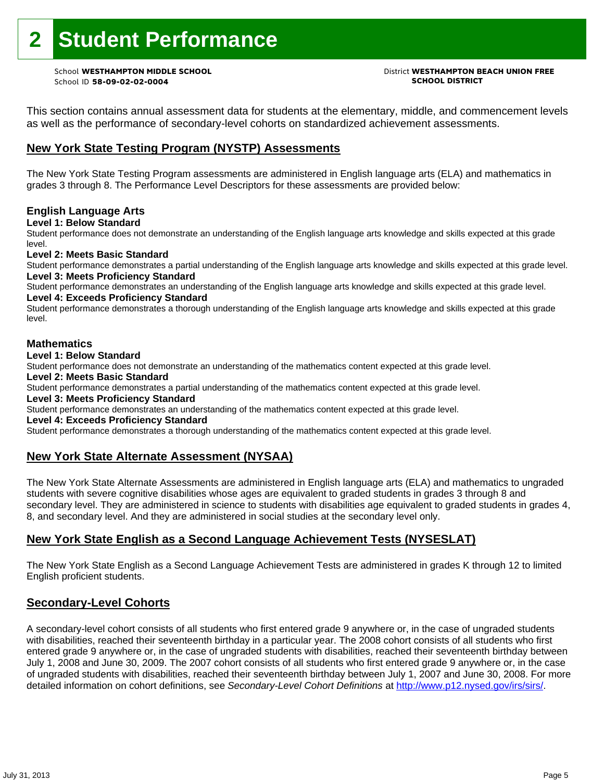# **2 Student Performance**

School ID **58-09-02-02-0004 SCHOOL DISTRICT**

### School **WESTHAMPTON MIDDLE SCHOOL** District **WESTHAMPTON BEACH UNION FREE**

This section contains annual assessment data for students at the elementary, middle, and commencement levels as well as the performance of secondary-level cohorts on standardized achievement assessments.

#### **New York State Testing Program (NYSTP) Assessments**

The New York State Testing Program assessments are administered in English language arts (ELA) and mathematics in grades 3 through 8. The Performance Level Descriptors for these assessments are provided below:

#### **English Language Arts**

**Level 1: Below Standard** 

Student performance does not demonstrate an understanding of the English language arts knowledge and skills expected at this grade level.

#### **Level 2: Meets Basic Standard**

Student performance demonstrates a partial understanding of the English language arts knowledge and skills expected at this grade level. **Level 3: Meets Proficiency Standard** 

Student performance demonstrates an understanding of the English language arts knowledge and skills expected at this grade level. **Level 4: Exceeds Proficiency Standard** 

Student performance demonstrates a thorough understanding of the English language arts knowledge and skills expected at this grade level.

#### **Mathematics**

#### **Level 1: Below Standard**

Student performance does not demonstrate an understanding of the mathematics content expected at this grade level.

#### **Level 2: Meets Basic Standard**

Student performance demonstrates a partial understanding of the mathematics content expected at this grade level.

#### **Level 3: Meets Proficiency Standard**

Student performance demonstrates an understanding of the mathematics content expected at this grade level.

#### **Level 4: Exceeds Proficiency Standard**

Student performance demonstrates a thorough understanding of the mathematics content expected at this grade level.

#### **New York State Alternate Assessment (NYSAA)**

The New York State Alternate Assessments are administered in English language arts (ELA) and mathematics to ungraded students with severe cognitive disabilities whose ages are equivalent to graded students in grades 3 through 8 and secondary level. They are administered in science to students with disabilities age equivalent to graded students in grades 4, 8, and secondary level. And they are administered in social studies at the secondary level only.

#### **New York State English as a Second Language Achievement Tests (NYSESLAT)**

The New York State English as a Second Language Achievement Tests are administered in grades K through 12 to limited English proficient students.

#### **Secondary-Level Cohorts**

A secondary-level cohort consists of all students who first entered grade 9 anywhere or, in the case of ungraded students with disabilities, reached their seventeenth birthday in a particular year. The 2008 cohort consists of all students who first entered grade 9 anywhere or, in the case of ungraded students with disabilities, reached their seventeenth birthday between July 1, 2008 and June 30, 2009. The 2007 cohort consists of all students who first entered grade 9 anywhere or, in the case of ungraded students with disabilities, reached their seventeenth birthday between July 1, 2007 and June 30, 2008. For more detailed information on cohort definitions, see *Secondary-Level Cohort Definitions* at http://www.p12.nysed.gov/irs/sirs/.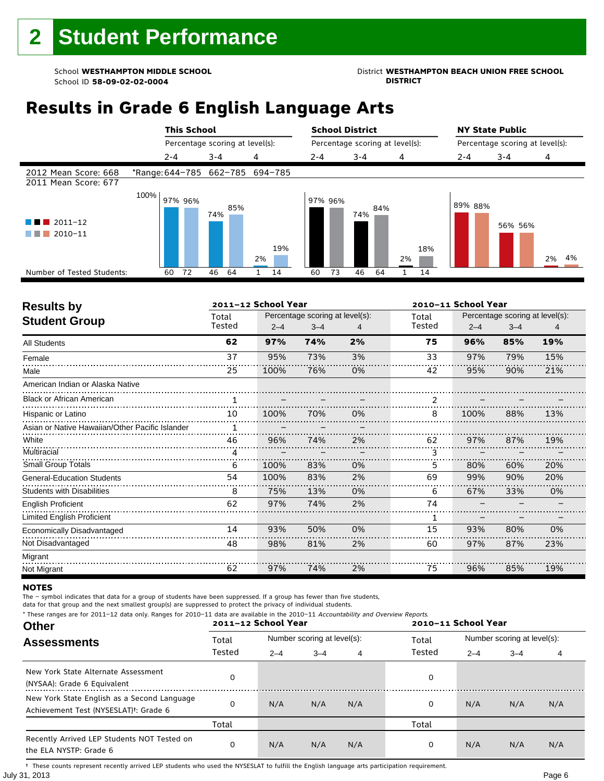### School **WESTHAMPTON MIDDLE SCHOOL**<br>School ID 58-09-02-020404<br>DISTRICT

### **Results in Grade 6 English Language Arts**

|                                              |                                 |         | <b>This School</b> |         |                                 |    |     |                                 | <b>School District</b> |         |     |                                 |     | <b>NY State Public</b> |         |         |    |    |
|----------------------------------------------|---------------------------------|---------|--------------------|---------|---------------------------------|----|-----|---------------------------------|------------------------|---------|-----|---------------------------------|-----|------------------------|---------|---------|----|----|
|                                              |                                 |         |                    |         | Percentage scoring at level(s): |    |     | Percentage scoring at level(s): |                        |         |     | Percentage scoring at level(s): |     |                        |         |         |    |    |
|                                              |                                 | $2 - 4$ |                    | $3 - 4$ |                                 | 4  |     | $2 - 4$                         |                        | $3 - 4$ |     | 4                               |     | $2 - 4$                | $3 - 4$ |         | 4  |    |
| 2012 Mean Score: 668<br>2011 Mean Score: 677 | *Range: 644-785 662-785 694-785 |         |                    |         |                                 |    |     |                                 |                        |         |     |                                 |     |                        |         |         |    |    |
| $2011 - 12$<br>2010-11                       | 100%                            |         | 97% 96%            | 74%     | 85%                             | 2% | 19% |                                 | 97% 96%                | 74%     | 84% | 2%                              | 18% | 89% 88%                |         | 56% 56% | 2% | 4% |
| Number of Tested Students:                   |                                 | 60      | 72                 | 46      | 64                              | 1. | 14  | 60                              | 73                     | 46      | 64  |                                 | 14  |                        |         |         |    |    |
|                                              |                                 |         |                    |         |                                 |    |     |                                 |                        |         |     |                                 |     |                        |         |         |    |    |

| <b>Results by</b>                               |                 | 2011-12 School Year |                                            |    | 2010-11 School Year |         |                                            |     |  |
|-------------------------------------------------|-----------------|---------------------|--------------------------------------------|----|---------------------|---------|--------------------------------------------|-----|--|
| <b>Student Group</b>                            | Total<br>Tested | $2 - 4$             | Percentage scoring at level(s):<br>$3 - 4$ | 4  | Total<br>Tested     | $2 - 4$ | Percentage scoring at level(s):<br>$3 - 4$ | 4   |  |
| <b>All Students</b>                             | 62              | 97%                 | 74%                                        | 2% | 75                  | 96%     | 85%                                        | 19% |  |
| Female                                          | 37              | 95%                 | 73%                                        | 3% | 33                  | 97%     | 79%                                        | 15% |  |
| Male                                            | 25              | 100%                | 76%                                        | 0% | 42                  | 95%     | 90%                                        | 21% |  |
| American Indian or Alaska Native                |                 |                     |                                            |    |                     |         |                                            |     |  |
| <b>Black or African American</b>                |                 |                     |                                            |    |                     |         |                                            |     |  |
| Hispanic or Latino                              | 10              | 100%                | 70%                                        | 0% | 8                   | 100%    | 88%                                        | 13% |  |
| Asian or Native Hawaiian/Other Pacific Islander |                 |                     |                                            |    |                     |         |                                            |     |  |
| White                                           | 46              | 96%                 | 74%                                        | 2% | 62                  | 97%     | 87%                                        | 19% |  |
| Multiracial                                     | 4               |                     |                                            |    | ٦                   |         |                                            |     |  |
| <b>Small Group Totals</b>                       | 6               | 100%                | 83%                                        | 0% | 5.                  | 80%     | 60%                                        | 20% |  |
| <b>General-Education Students</b>               | 54              | 100%                | 83%                                        | 2% | 69                  | 99%     | 90%                                        | 20% |  |
| <b>Students with Disabilities</b>               | 8               | 75%                 | 13%                                        | 0% | 6                   | 67%     | 33%                                        | 0%  |  |
| <b>English Proficient</b>                       | 62              | 97%                 | 74%                                        | 2% | 74                  |         |                                            |     |  |
| Limited English Proficient                      |                 |                     |                                            |    | 1                   |         |                                            |     |  |
| Economically Disadvantaged                      | 14              | 93%                 | 50%                                        | 0% | 15                  | 93%     | 80%                                        | 0%  |  |
| Not Disadvantaged                               | 48              | 98%                 | 81%                                        | 2% | 60                  | 97%     | 87%                                        | 23% |  |
| Migrant                                         |                 |                     |                                            |    |                     |         |                                            |     |  |
| Not Migrant                                     | 62              | 97%                 | 74%                                        | 2% | 75                  | 96%     | 85%                                        | 19% |  |

#### **NOTES**

The – symbol indicates that data for a group of students have been suppressed. If a group has fewer than five students,

data for that group and the next smallest group(s) are suppressed to protect the privacy of individual students. \* These ranges are for 2011–12 data only. Ranges for 2010–11 data are available in the 2010–11 Accountability and Overview Reports.

| THESE TRINGES ATE TOT ZUIT-IZ GATA UNIV. RANGES TOT ZUIU-II GATA ATE AVAILADLE IN THE ZUIU-II ACCOUNTADINTY AND OVERVIEW REPORTS.<br><b>Other</b> |        | 2011-12 School Year |                             |     | 2010-11 School Year |                             |         |     |  |  |
|---------------------------------------------------------------------------------------------------------------------------------------------------|--------|---------------------|-----------------------------|-----|---------------------|-----------------------------|---------|-----|--|--|
| <b>Assessments</b>                                                                                                                                | Total  |                     | Number scoring at level(s): |     | Total               | Number scoring at level(s): |         |     |  |  |
|                                                                                                                                                   | Tested | $2 - 4$             | $3 - 4$                     | 4   | Tested              | $2 - 4$                     | $3 - 4$ | 4   |  |  |
| New York State Alternate Assessment<br>(NYSAA): Grade 6 Equivalent                                                                                |        |                     |                             |     | 0                   |                             |         |     |  |  |
| New York State English as a Second Language<br>Achievement Test (NYSESLAT) <sup>†</sup> : Grade 6                                                 |        | N/A                 | N/A                         | N/A | 0                   | N/A                         | N/A     | N/A |  |  |
|                                                                                                                                                   | Total  |                     |                             |     | Total               |                             |         |     |  |  |
| Recently Arrived LEP Students NOT Tested on<br>the ELA NYSTP: Grade 6                                                                             |        | N/A                 | N/A                         | N/A | 0                   | N/A                         | N/A     | N/A |  |  |

July 31, 2013 Page 6 † These counts represent recently arrived LEP students who used the NYSESLAT to fulfill the English language arts participation requirement.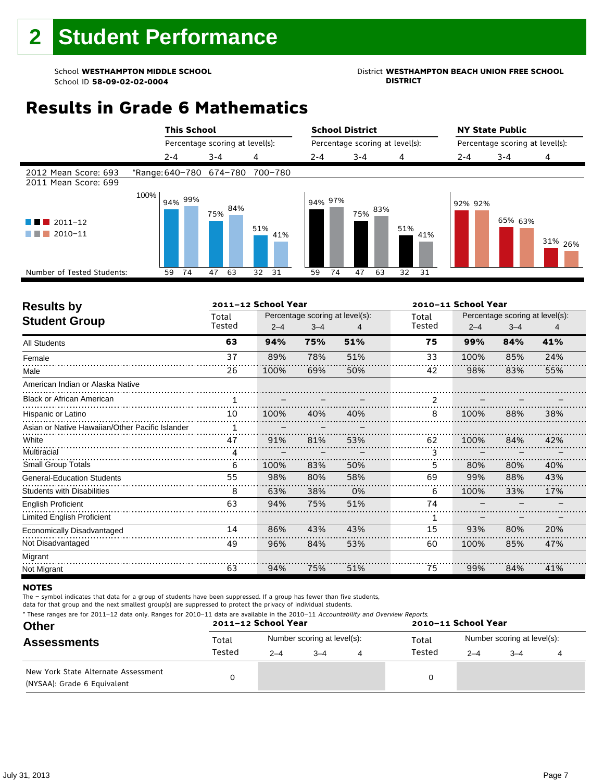## School **WESTHAMPTON MIDDLE SCHOOL**<br>School ID 58-09-02-020404<br>DISTRICT DISTRICT

### **Results in Grade 6 Mathematics**

|                                                  |      | <b>This School</b>      |                                 |     |         |         | <b>School District</b>          |                |    |     | <b>NY State Public</b>          |         |         |                    |
|--------------------------------------------------|------|-------------------------|---------------------------------|-----|---------|---------|---------------------------------|----------------|----|-----|---------------------------------|---------|---------|--------------------|
|                                                  |      |                         | Percentage scoring at level(s): |     |         |         | Percentage scoring at level(s): |                |    |     | Percentage scoring at level(s): |         |         |                    |
|                                                  |      | $2 - 4$                 | $3 - 4$                         | 4   |         | $2 - 4$ |                                 | $3 - 4$        |    | 4   |                                 | $2 - 4$ | $3 - 4$ | 4                  |
| 2012 Mean Score: 693<br>2011 Mean Score: 699     |      | *Range: 640-780 674-780 |                                 |     | 700-780 |         |                                 |                |    |     |                                 |         |         |                    |
| $\blacksquare$ 2011-12<br>a ka<br>2010-11<br>. . | 100% | 94% 99%                 | 84%<br>75%                      | 51% | 41%     |         | 94% 97%                         | $75\%~^{83\%}$ |    | 51% | 41%                             | 92% 92% | 65% 63% | 31% <sub>26%</sub> |
| Number of Tested Students:                       |      | 74<br>59                | 47<br>63                        | 32  | 31      | 59      | 74                              | 47             | 63 | 32  | 31                              |         |         |                    |
|                                                  |      |                         |                                 |     |         |         |                                 |                |    |     |                                 |         |         |                    |

| <b>Results by</b>                               |                 | 2011-12 School Year |                                            |     | 2010-11 School Year |         |                                            |     |  |
|-------------------------------------------------|-----------------|---------------------|--------------------------------------------|-----|---------------------|---------|--------------------------------------------|-----|--|
| <b>Student Group</b>                            | Total<br>Tested | $2 - 4$             | Percentage scoring at level(s):<br>$3 - 4$ |     | Total<br>Tested     | $2 - 4$ | Percentage scoring at level(s):<br>$3 - 4$ | 4   |  |
| <b>All Students</b>                             | 63              | 94%                 | 75%                                        | 51% | 75                  | 99%     | 84%                                        | 41% |  |
| Female                                          | 37              | 89%                 | 78%                                        | 51% | 33                  | 100%    | 85%                                        | 24% |  |
| Male                                            | 26              | 100%                | 69%                                        | 50% | 42                  | 98%     | 83%                                        | 55% |  |
| American Indian or Alaska Native                |                 |                     |                                            |     |                     |         |                                            |     |  |
| <b>Black or African American</b>                |                 |                     |                                            |     | $\mathfrak{p}$      |         |                                            |     |  |
| Hispanic or Latino                              | 10              | 100%                | 40%                                        | 40% | 8                   | 100%    | 88%                                        | 38% |  |
| Asian or Native Hawaiian/Other Pacific Islander |                 |                     |                                            |     |                     |         |                                            |     |  |
| White                                           | 47              | 91%                 | 81%                                        | 53% | 62                  | 100%    | 84%                                        | 42% |  |
| Multiracial                                     | 4               |                     |                                            |     | 3                   |         |                                            |     |  |
| Small Group Totals                              | 6               | 100%                | 83%                                        | 50% | 5                   | 80%     | 80%                                        | 40% |  |
| <b>General-Education Students</b>               | 55              | 98%                 | 80%                                        | 58% | 69                  | 99%     | 88%                                        | 43% |  |
| <b>Students with Disabilities</b>               | 8               | 63%                 | 38%                                        | 0%  | 6                   | 100%    | 33%                                        | 17% |  |
| English Proficient                              | 63              | 94%                 | 75%                                        | 51% | 74                  |         |                                            |     |  |
| <b>Limited English Proficient</b>               |                 |                     |                                            |     | 1                   |         |                                            |     |  |
| Economically Disadvantaged                      | 14              | 86%                 | 43%                                        | 43% | 15                  | 93%     | 80%                                        | 20% |  |
| Not Disadvantaged                               | 49              | 96%                 | 84%                                        | 53% | 60                  | 100%    | 85%                                        | 47% |  |
| Migrant                                         |                 |                     |                                            |     |                     |         |                                            |     |  |
| Not Migrant                                     | 63              | 94%                 | 75%                                        | 51% | 75                  | 99%     | 84%                                        | 41% |  |

#### **NOTES**

The – symbol indicates that data for a group of students have been suppressed. If a group has fewer than five students,

| * These ranges are for 2011-12 data only. Ranges for 2010-11 data are available in the 2010-11 Accountability and Overview Reports. |  |
|-------------------------------------------------------------------------------------------------------------------------------------|--|
|-------------------------------------------------------------------------------------------------------------------------------------|--|

| <b>Other</b>                                                       |        | 2011-12 School Year         |         |  | 2010-11 School Year |                             |         |  |  |
|--------------------------------------------------------------------|--------|-----------------------------|---------|--|---------------------|-----------------------------|---------|--|--|
| <b>Assessments</b>                                                 | Total  | Number scoring at level(s): |         |  | Total               | Number scoring at level(s): |         |  |  |
|                                                                    | Tested | $2 - 4$                     | $3 - 4$ |  | Tested              | $2 - 4$                     | $3 - 4$ |  |  |
| New York State Alternate Assessment<br>(NYSAA): Grade 6 Equivalent |        |                             |         |  |                     |                             |         |  |  |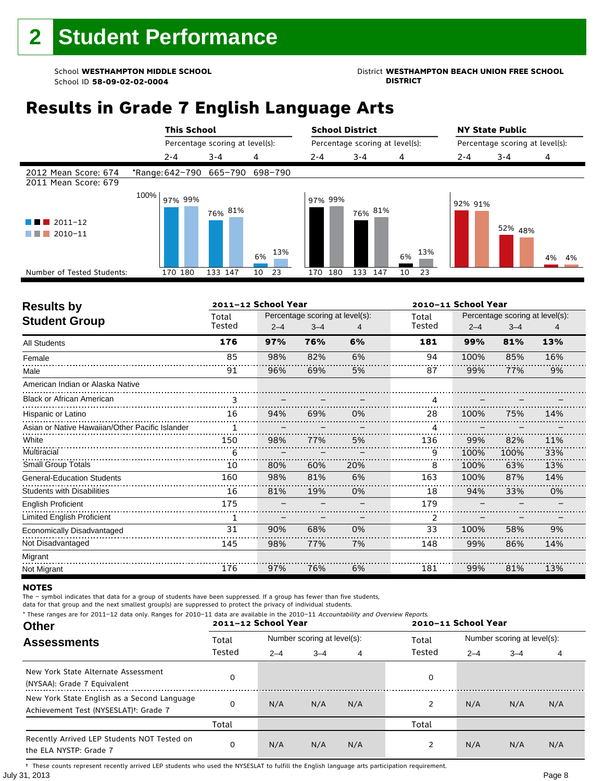### School **WESTHAMPTON MIDDLE SCHOOL**<br>School ID 58-09-02-020404<br>DISTRICT

### **Results in Grade 7 English Language Arts**

|                                              |      | <b>This School</b>              |                                 |            | <b>School District</b>          |            |           | <b>NY State Public</b>          |         |          |
|----------------------------------------------|------|---------------------------------|---------------------------------|------------|---------------------------------|------------|-----------|---------------------------------|---------|----------|
|                                              |      |                                 | Percentage scoring at level(s): |            | Percentage scoring at level(s): |            |           | Percentage scoring at level(s): |         |          |
|                                              |      | $2 - 4$                         | $3 - 4$                         | 4          | $2 - 4$                         | $3 - 4$    | 4         | $2 - 4$                         | $3 - 4$ | 4        |
| 2012 Mean Score: 674<br>2011 Mean Score: 679 |      | *Range: 642-790 665-790 698-790 |                                 |            |                                 |            |           |                                 |         |          |
| $2011 - 12$<br>2010-11                       | 100% | 97% 99%                         | 76% 81%                         | 13%<br>6%  | 97% 99%                         | 76% 81%    | 13%<br>6% | 92% 91%                         | 52% 48% | 4%<br>4% |
| Number of Tested Students:                   |      | 170 180                         | 133 147                         | - 23<br>10 | 180<br>170                      | 133<br>147 | 10<br>23  |                                 |         |          |
|                                              |      |                                 |                                 |            |                                 |            |           |                                 |         |          |

| <b>Results by</b>                               |        | 2011-12 School Year |                                 |     | 2010-11 School Year |         |                                 |     |  |
|-------------------------------------------------|--------|---------------------|---------------------------------|-----|---------------------|---------|---------------------------------|-----|--|
| <b>Student Group</b>                            | Total  |                     | Percentage scoring at level(s): |     | Total               |         | Percentage scoring at level(s): |     |  |
|                                                 | Tested | $2 - 4$             | $3 - 4$                         | 4   | Tested              | $2 - 4$ | $3 - 4$                         | 4   |  |
| All Students                                    | 176    | 97%                 | 76%                             | 6%  | 181                 | 99%     | 81%                             | 13% |  |
| Female                                          | 85     | 98%                 | 82%                             | 6%  | 94                  | 100%    | 85%                             | 16% |  |
| Male                                            | 91     | 96%                 | 69%                             | 5%  | 87                  | 99%     | 77%                             | 9%  |  |
| American Indian or Alaska Native                |        |                     |                                 |     |                     |         |                                 |     |  |
| <b>Black or African American</b>                | 3      |                     |                                 |     | 4                   |         |                                 |     |  |
| Hispanic or Latino                              | 16     | 94%                 | 69%                             | 0%  | 28                  | 100%    | 75%                             | 14% |  |
| Asian or Native Hawaiian/Other Pacific Islander | 1      |                     |                                 |     |                     |         |                                 |     |  |
| White                                           | 150    | 98%                 | 77%                             | 5%  | 136                 | 99%     | 82%                             | 11% |  |
| Multiracial                                     | 6      |                     |                                 |     | 9                   | 100%    | 100%                            | 33% |  |
| Small Group Totals                              | 10     | 80%                 | 60%                             | 20% | 8                   | 100%    | 63%                             | 13% |  |
| <b>General-Education Students</b>               | 160    | 98%                 | 81%                             | 6%  | 163                 | 100%    | 87%                             | 14% |  |
| <b>Students with Disabilities</b>               | 16     | 81%                 | 19%                             | 0%  | 18                  | 94%     | 33%                             | 0%  |  |
| <b>English Proficient</b>                       | 175    |                     |                                 |     | 179                 |         |                                 |     |  |
| Limited English Proficient                      |        |                     |                                 |     | 2                   |         |                                 |     |  |
| Economically Disadvantaged                      | 31     | 90%                 | 68%                             | 0%  | 33                  | 100%    | 58%                             | 9%  |  |
| Not Disadvantaged                               | 145    | 98%                 | 77%                             | 7%  | 148                 | 99%     | 86%                             | 14% |  |
| Migrant                                         |        |                     |                                 |     |                     |         |                                 |     |  |
| Not Migrant                                     | 176    | 97%                 | 76%                             | 6%  | 181                 | 99%     | 81%                             | 13% |  |

#### **NOTES**

The – symbol indicates that data for a group of students have been suppressed. If a group has fewer than five students,

data for that group and the next smallest group(s) are suppressed to protect the privacy of individual students. \* These ranges are for 2011–12 data only. Ranges for 2010–11 data are available in the 2010–11 Accountability and Overview Reports.

| THESE TRINGES ATE TOT ZOILE IZ GATA ONLY. NANGES TOT ZOID II GATA ATE AVANADLE IN THE ZOID II ACCOMMADMY AND OVERVIEW NEDOLD.<br><b>Other</b> |        | 2011-12 School Year |                             |     | 2010-11 School Year |                             |         |     |  |
|-----------------------------------------------------------------------------------------------------------------------------------------------|--------|---------------------|-----------------------------|-----|---------------------|-----------------------------|---------|-----|--|
| <b>Assessments</b>                                                                                                                            | Total  |                     | Number scoring at level(s): |     |                     | Number scoring at level(s): |         |     |  |
|                                                                                                                                               | Tested | $2 - 4$             | $3 - 4$                     | 4   | Tested              | $2 - 4$                     | $3 - 4$ | 4   |  |
| New York State Alternate Assessment<br>(NYSAA): Grade 7 Equivalent                                                                            |        |                     |                             |     | 0                   |                             |         |     |  |
| New York State English as a Second Language<br>Achievement Test (NYSESLAT) <sup>+</sup> : Grade 7                                             |        | N/A                 | N/A                         | N/A | 2                   | N/A                         | N/A     | N/A |  |
|                                                                                                                                               | Total  |                     |                             |     | Total               |                             |         |     |  |
| Recently Arrived LEP Students NOT Tested on<br>the ELA NYSTP: Grade 7                                                                         | 0      | N/A                 | N/A                         | N/A | 2                   | N/A                         | N/A     | N/A |  |

July 31, 2013 Page 8 † These counts represent recently arrived LEP students who used the NYSESLAT to fulfill the English language arts participation requirement.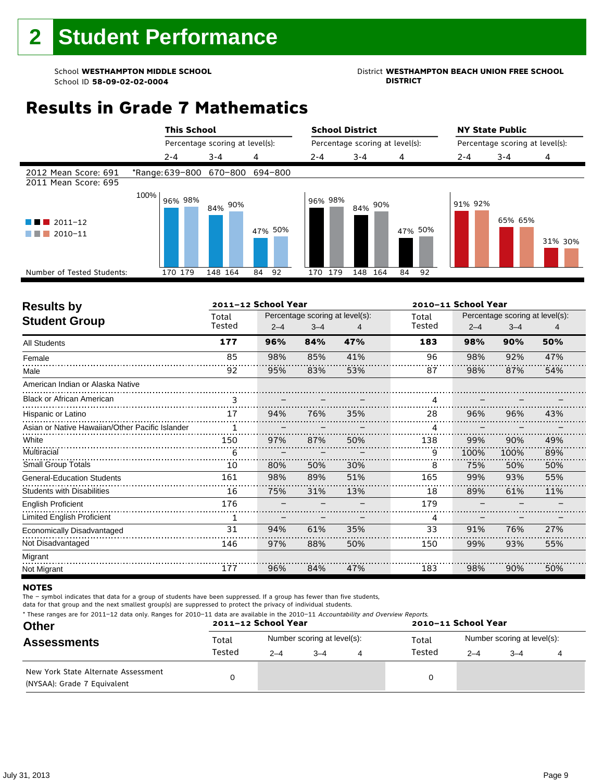## School **WESTHAMPTON MIDDLE SCHOOL**<br>School ID 58-09-02-020404<br>DISTRICT DISTRICT

### **Results in Grade 7 Mathematics**

|                                              | <b>This School</b>      |                                 |          | <b>School District</b> |                                 |          | <b>NY State Public</b> |                                 |         |  |
|----------------------------------------------|-------------------------|---------------------------------|----------|------------------------|---------------------------------|----------|------------------------|---------------------------------|---------|--|
|                                              |                         | Percentage scoring at level(s): |          |                        | Percentage scoring at level(s): |          |                        | Percentage scoring at level(s): |         |  |
|                                              | $2 - 4$                 | $3 - 4$                         | 4        | $2 - 4$                | $3 - 4$                         | 4        | $2 - 4$                | $3 - 4$                         | 4       |  |
| 2012 Mean Score: 691<br>2011 Mean Score: 695 | *Range: 639-800 670-800 |                                 | 694-800  |                        |                                 |          |                        |                                 |         |  |
| $\blacksquare$ 2011-12<br>2010-11            | 100%<br>96% 98%         | 90%<br>84%                      | 47% 50%  | 96% 98%                | 84% 90%                         | 47% 50%  | 91% 92%                | 65% 65%                         | 31% 30% |  |
| Number of Tested Students:                   | 170 179                 | 148 164                         | 84<br>92 | 179<br>170             | 164<br>148                      | 84<br>92 |                        |                                 |         |  |
|                                              |                         |                                 |          |                        |                                 |          |                        |                                 |         |  |

| <b>Results by</b>                               | 2011-12 School Year |         |                                 |     | 2010-11 School Year |         |                                 |     |  |
|-------------------------------------------------|---------------------|---------|---------------------------------|-----|---------------------|---------|---------------------------------|-----|--|
| <b>Student Group</b>                            | Total               |         | Percentage scoring at level(s): |     | Total               |         | Percentage scoring at level(s): |     |  |
|                                                 | Tested              | $2 - 4$ | $3 - 4$                         |     | Tested              | $2 - 4$ | $3 - 4$                         |     |  |
| <b>All Students</b>                             | 177                 | 96%     | 84%                             | 47% | 183                 | 98%     | 90%                             | 50% |  |
| Female                                          | 85                  | 98%     | 85%                             | 41% | 96                  | 98%     | 92%                             | 47% |  |
| Male                                            | 92                  | 95%     | 83%                             | 53% | 87                  | 98%     | 87%                             | 54% |  |
| American Indian or Alaska Native                |                     |         |                                 |     |                     |         |                                 |     |  |
| <b>Black or African American</b>                | 3                   |         |                                 |     | 4                   |         |                                 |     |  |
| Hispanic or Latino                              | 17                  | 94%     | 76%                             | 35% | 28                  | 96%     | 96%                             | 43% |  |
| Asian or Native Hawaiian/Other Pacific Islander | 1                   |         |                                 |     | 4                   |         |                                 |     |  |
| White                                           | 150                 | 97%     | 87%                             | 50% | 138                 | 99%     | 90%                             | 49% |  |
| Multiracial                                     | 6                   |         |                                 |     | 9                   | 100%    | 100%                            | 89% |  |
| <b>Small Group Totals</b>                       | 10                  | 80%     | 50%                             | 30% | 8                   | 75%     | 50%                             | 50% |  |
| <b>General-Education Students</b>               | 161                 | 98%     | 89%                             | 51% | 165                 | 99%     | 93%                             | 55% |  |
| <b>Students with Disabilities</b>               | 16                  | 75%     | 31%                             | 13% | 18                  | 89%     | 61%                             | 11% |  |
| English Proficient                              | 176                 |         |                                 |     | 179                 |         |                                 |     |  |
| <b>Limited English Proficient</b>               | 1                   |         |                                 |     | 4                   |         |                                 |     |  |
| Economically Disadvantaged                      | 31                  | 94%     | 61%                             | 35% | 33                  | 91%     | 76%                             | 27% |  |
| Not Disadvantaged                               | 146                 | 97%     | 88%                             | 50% | 150                 | 99%     | 93%                             | 55% |  |
| Migrant                                         |                     |         |                                 |     |                     |         |                                 |     |  |
| Not Migrant                                     | 177                 | 96%     | 84%                             | 47% | 183                 | 98%     | 90%                             | 50% |  |

#### **NOTES**

The – symbol indicates that data for a group of students have been suppressed. If a group has fewer than five students,

| * These ranges are for 2011-12 data only. Ranges for 2010-11 data are available in the 2010-11 Accountability and Overview Reports. |  |
|-------------------------------------------------------------------------------------------------------------------------------------|--|
|-------------------------------------------------------------------------------------------------------------------------------------|--|

| <b>Other</b>                                                       |        | 2011-12 School Year |                             | 2010-11 School Year |                             |         |  |  |
|--------------------------------------------------------------------|--------|---------------------|-----------------------------|---------------------|-----------------------------|---------|--|--|
| <b>Assessments</b>                                                 | Total  |                     | Number scoring at level(s): | Total               | Number scoring at level(s): |         |  |  |
|                                                                    | Tested | $2 - 4$             | $3 - 4$                     | Tested              | $2 - 4$                     | $3 - 4$ |  |  |
| New York State Alternate Assessment<br>(NYSAA): Grade 7 Equivalent |        |                     |                             |                     |                             |         |  |  |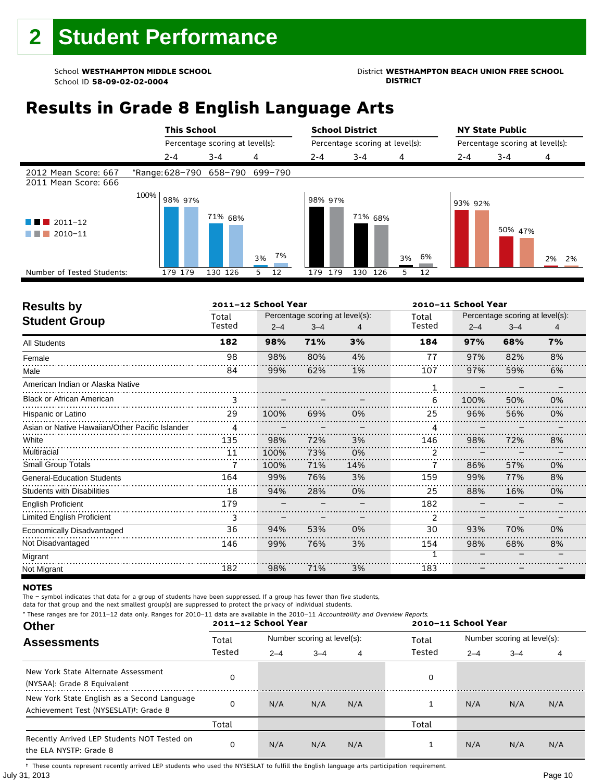### School **WESTHAMPTON MIDDLE SCHOOL**<br>School ID 58-09-02-020404<br>DISTRICT

### **Results in Grade 8 English Language Arts**

|                                              |      | <b>This School</b>              |                                 |          | <b>School District</b>          |                    |         | <b>NY State Public</b>          |         |          |
|----------------------------------------------|------|---------------------------------|---------------------------------|----------|---------------------------------|--------------------|---------|---------------------------------|---------|----------|
|                                              |      |                                 | Percentage scoring at level(s): |          | Percentage scoring at level(s): |                    |         | Percentage scoring at level(s): |         |          |
|                                              |      | $2 - 4$                         | $3 - 4$                         | 4        | $2 - 4$                         | $3 - 4$            | 4       | $2 - 4$                         | $3 - 4$ | 4        |
| 2012 Mean Score: 667<br>2011 Mean Score: 666 |      | *Range: 628-790 658-790 699-790 |                                 |          |                                 |                    |         |                                 |         |          |
| $2011 - 12$<br>2010-11                       | 100% | 98% 97%                         | 71% 68%                         | 7%<br>3% | 98% 97%                         | 71% <sub>68%</sub> | 3% 6%   | 93% 92%                         | 50% 47% | 2%<br>2% |
| Number of Tested Students:                   |      | 179 179                         | 130 126                         | 12<br>5  | 179<br>179                      | 130<br>126         | 5<br>12 |                                 |         |          |
|                                              |      |                                 |                                 |          |                                 |                    |         |                                 |         |          |

| <b>Results by</b>                               |        | 2011-12 School Year |                                 |     |        | 2010-11 School Year |                                 |    |  |  |
|-------------------------------------------------|--------|---------------------|---------------------------------|-----|--------|---------------------|---------------------------------|----|--|--|
| <b>Student Group</b>                            | Total  |                     | Percentage scoring at level(s): |     | Total  |                     | Percentage scoring at level(s): |    |  |  |
|                                                 | Tested | $2 - 4$             | $3 - 4$                         | 4   | Tested | $2 - 4$             | $3 - 4$                         | 4  |  |  |
| All Students                                    | 182    | 98%                 | 71%                             | 3%  | 184    | 97%                 | 68%                             | 7% |  |  |
| Female                                          | 98     | 98%                 | 80%                             | 4%  | 77     | 97%                 | 82%                             | 8% |  |  |
| Male                                            | 84     | 99%                 | 62%                             | 1%  | 107    | 97%                 | 59%                             | 6% |  |  |
| American Indian or Alaska Native                |        |                     |                                 |     |        |                     |                                 |    |  |  |
| <b>Black or African American</b>                | 3      |                     |                                 |     | 6      | 100%                | 50%                             | 0% |  |  |
| Hispanic or Latino                              | 29     | 100%                | 69%                             | 0%  | 25     | 96%                 | 56%                             | 0% |  |  |
| Asian or Native Hawaiian/Other Pacific Islander | 4      |                     |                                 |     |        |                     |                                 |    |  |  |
| White                                           | 135    | 98%                 | 72%                             | 3%  | 146    | 98%                 | 72%                             | 8% |  |  |
| Multiracial                                     | 11     | 100%                | 73%                             | 0%  |        |                     |                                 |    |  |  |
| <b>Small Group Totals</b>                       |        | 100%                | 71%                             | 14% |        | 86%                 | 57%                             | 0% |  |  |
| <b>General-Education Students</b>               | 164    | 99%                 | 76%                             | 3%  | 159    | 99%                 | 77%                             | 8% |  |  |
| <b>Students with Disabilities</b>               | 18     | 94%                 | 28%                             | 0%  | 25     | 88%                 | 16%                             | 0% |  |  |
| <b>English Proficient</b>                       | 179    |                     |                                 |     | 182    |                     |                                 |    |  |  |
| Limited English Proficient                      | 3      |                     |                                 |     | 2      |                     |                                 |    |  |  |
| Economically Disadvantaged                      | 36     | 94%                 | 53%                             | 0%  | 30     | 93%                 | 70%                             | 0% |  |  |
| Not Disadvantaged                               | 146    | 99%                 | 76%                             | 3%  | 154    | 98%                 | 68%                             | 8% |  |  |
| Migrant                                         |        |                     |                                 |     | 1      |                     |                                 |    |  |  |
| Not Migrant                                     | 182    | 98%                 | 71%                             | 3%  | 183    |                     |                                 |    |  |  |

#### **NOTES**

The – symbol indicates that data for a group of students have been suppressed. If a group has fewer than five students,

data for that group and the next smallest group(s) are suppressed to protect the privacy of individual students. \* These ranges are for 2011–12 data only. Ranges for 2010–11 data are available in the 2010–11 Accountability and Overview Reports.

| THESE TRINGES ATE TOT ZUIT-IZ GATA UNIV. RANGES TOT ZUIU-II GATA ATE AVAILADE IN THE ZUIU-II ACCOUNTABLICY AND OVERVIEW REPORTS.<br><b>Other</b> |        | 2011-12 School Year |                             |     | 2010-11 School Year |                             |         |     |  |
|--------------------------------------------------------------------------------------------------------------------------------------------------|--------|---------------------|-----------------------------|-----|---------------------|-----------------------------|---------|-----|--|
| <b>Assessments</b>                                                                                                                               | Total  |                     | Number scoring at level(s): |     | Total               | Number scoring at level(s): |         |     |  |
|                                                                                                                                                  | Tested | $2 - 4$             | $3 - 4$                     | 4   | Tested              | $2 - 4$                     | $3 - 4$ | 4   |  |
| New York State Alternate Assessment<br>(NYSAA): Grade 8 Equivalent                                                                               |        |                     |                             |     | 0                   |                             |         |     |  |
| New York State English as a Second Language<br>Achievement Test (NYSESLAT) <sup>†</sup> : Grade 8                                                |        | N/A                 | N/A                         | N/A |                     | N/A                         | N/A     | N/A |  |
|                                                                                                                                                  | Total  |                     |                             |     | Total               |                             |         |     |  |
| Recently Arrived LEP Students NOT Tested on<br>the ELA NYSTP: Grade 8                                                                            |        | N/A                 | N/A                         | N/A |                     | N/A                         | N/A     | N/A |  |

July 31, 2013 Page 10 † These counts represent recently arrived LEP students who used the NYSESLAT to fulfill the English language arts participation requirement.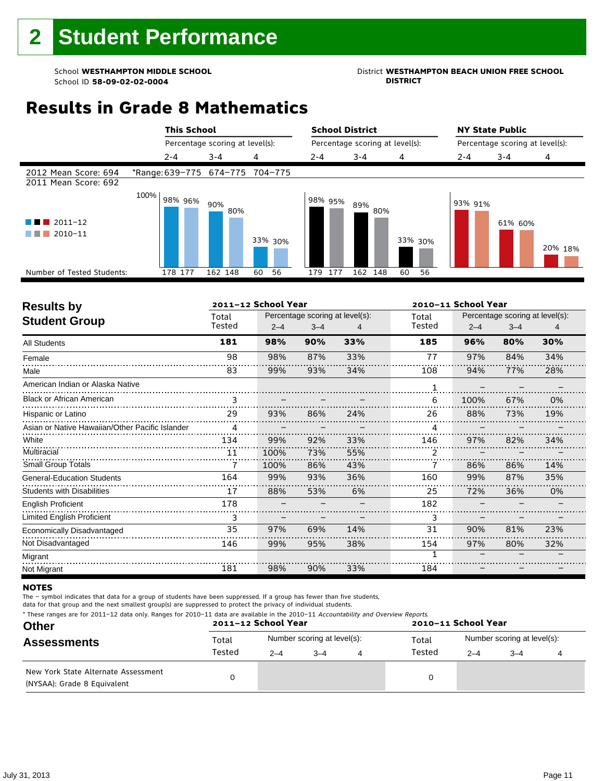### School **WESTHAMPTON MIDDLE SCHOOL**<br>School ID 58-09-02-020404<br>DISTRICT DISTRICT

### **Results in Grade 8 Mathematics**

|                                              | <b>This School</b>              |                                 |          | <b>School District</b> |                                 |          | <b>NY State Public</b><br>Percentage scoring at level(s): |         |         |  |
|----------------------------------------------|---------------------------------|---------------------------------|----------|------------------------|---------------------------------|----------|-----------------------------------------------------------|---------|---------|--|
|                                              |                                 | Percentage scoring at level(s): |          |                        | Percentage scoring at level(s): |          |                                                           |         |         |  |
|                                              | $2 - 4$                         | $3 - 4$                         | 4        | $2 - 4$                | $3 - 4$                         | 4        | $2 - 4$                                                   | $3 - 4$ | 4       |  |
| 2012 Mean Score: 694<br>2011 Mean Score: 692 | *Range: 639-775 674-775 704-775 |                                 |          |                        |                                 |          |                                                           |         |         |  |
| $\blacksquare$ 2011-12<br>2010-11            | 100%<br>98% 96%                 | 90%<br>80%                      | 33% 30%  | 98% 95%                | 89%<br>80%                      | 33% 30%  | 93% 91%                                                   | 61% 60% | 20% 18% |  |
| Number of Tested Students:                   | 178 177                         | 162 148                         | 60<br>56 | 177<br>179             | 162 148                         | 60<br>56 |                                                           |         |         |  |
|                                              |                                 |                                 |          |                        |                                 |          |                                                           |         |         |  |

| <b>Results by</b>                               |        | 2011-12 School Year |                                 |     |        | 2010-11 School Year |                                 |     |  |  |  |
|-------------------------------------------------|--------|---------------------|---------------------------------|-----|--------|---------------------|---------------------------------|-----|--|--|--|
| <b>Student Group</b>                            | Total  |                     | Percentage scoring at level(s): |     | Total  |                     | Percentage scoring at level(s): |     |  |  |  |
|                                                 | Tested | $2 - 4$             | $3 - 4$                         | 4   | Tested | $2 - 4$             | $3 - 4$                         | 4   |  |  |  |
| <b>All Students</b>                             | 181    | 98%                 | 90%                             | 33% | 185    | 96%                 | 80%                             | 30% |  |  |  |
| Female                                          | 98     | 98%                 | 87%                             | 33% | 77     | 97%                 | 84%                             | 34% |  |  |  |
| Male                                            | 83     | 99%                 | 93%                             | 34% | 108    | 94%                 | 77%                             | 28% |  |  |  |
| American Indian or Alaska Native                |        |                     |                                 |     |        |                     |                                 |     |  |  |  |
| <b>Black or African American</b>                | 3      |                     |                                 |     | 6      | 100%                | 67%                             | 0%  |  |  |  |
| Hispanic or Latino                              | 29     | 93%                 | 86%                             | 24% | 26     | 88%                 | 73%                             | 19% |  |  |  |
| Asian or Native Hawaiian/Other Pacific Islander | 4      |                     |                                 |     | 4      |                     |                                 |     |  |  |  |
| White                                           | 134    | 99%                 | 92%                             | 33% | 146    | 97%                 | 82%                             | 34% |  |  |  |
| Multiracial                                     | 11     | 100%                | 73%                             | 55% | 2      |                     |                                 |     |  |  |  |
| <b>Small Group Totals</b>                       |        | 100%                | 86%                             | 43% |        | 86%                 | 86%                             | 14% |  |  |  |
| <b>General-Education Students</b>               | 164    | 99%                 | 93%                             | 36% | 160    | 99%                 | 87%                             | 35% |  |  |  |
| <b>Students with Disabilities</b>               | 17     | 88%                 | 53%                             | 6%  | 25     | 72%                 | 36%                             | 0%  |  |  |  |
| <b>English Proficient</b>                       | 178    |                     |                                 |     | 182    |                     |                                 |     |  |  |  |
| <b>Limited English Proficient</b>               | 3      |                     |                                 |     | 3      |                     |                                 |     |  |  |  |
| Economically Disadvantaged                      | 35     | 97%                 | 69%                             | 14% | 31     | 90%                 | 81%                             | 23% |  |  |  |
| Not Disadvantaged                               | 146    | 99%                 | 95%                             | 38% | 154    | 97%                 | 80%                             | 32% |  |  |  |
| Migrant                                         |        |                     |                                 |     | 1      |                     |                                 |     |  |  |  |
| Not Migrant                                     | 181    | 98%                 | 90%                             | 33% | 184    |                     |                                 |     |  |  |  |

#### **NOTES**

The – symbol indicates that data for a group of students have been suppressed. If a group has fewer than five students,

|  |  |  | * These ranges are for 2011-12 data only. Ranges for 2010-11 data are available in the 2010-11 Accountability and Overview Reports. |
|--|--|--|-------------------------------------------------------------------------------------------------------------------------------------|
|--|--|--|-------------------------------------------------------------------------------------------------------------------------------------|

| <b>Other</b>                                                       |        | 2011-12 School Year |                             |   | 2010-11 School Year |                             |      |  |  |  |
|--------------------------------------------------------------------|--------|---------------------|-----------------------------|---|---------------------|-----------------------------|------|--|--|--|
| <b>Assessments</b>                                                 | Total  |                     | Number scoring at level(s): |   | Total               | Number scoring at level(s): |      |  |  |  |
|                                                                    | Tested | $2 - 4$             | $3 - 4$                     | 4 | Tested              | $2 - 4$                     | $-4$ |  |  |  |
| New York State Alternate Assessment<br>(NYSAA): Grade 8 Equivalent |        |                     |                             |   | 0                   |                             |      |  |  |  |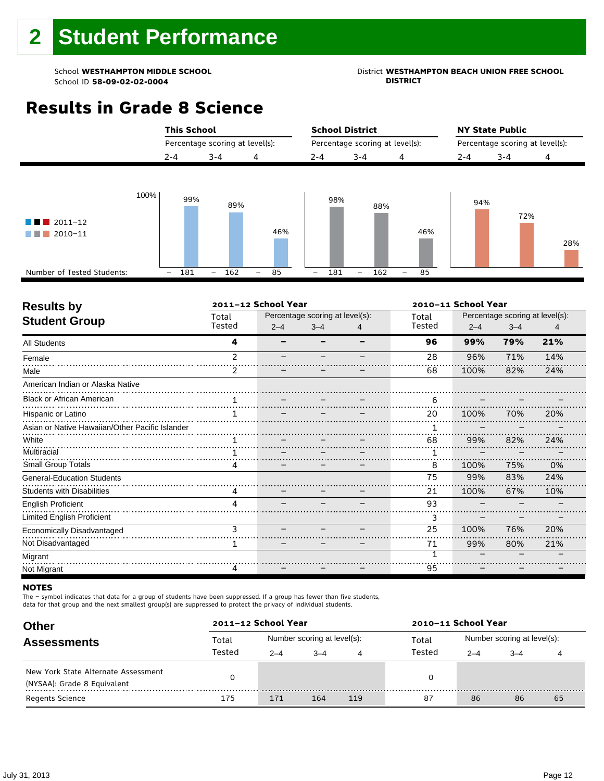## School **WESTHAMPTON MIDDLE SCHOOL**<br>School ID 58-09-02-020404<br>DISTRICT DISTRICT

### **Results in Grade 8 Science**

|                                                                                                               | <b>This School</b>              |                                       | <b>School District</b>                                  | <b>NY State Public</b>          |
|---------------------------------------------------------------------------------------------------------------|---------------------------------|---------------------------------------|---------------------------------------------------------|---------------------------------|
|                                                                                                               | Percentage scoring at level(s): |                                       | Percentage scoring at level(s):                         | Percentage scoring at level(s): |
|                                                                                                               | $3 - 4$<br>$2 - 4$              | 4                                     | $3 - 4$<br>$2 - 4$<br>4                                 | $2 - 4$<br>$3 - 4$<br>4         |
| 100%<br>$\blacksquare$ 2011-12<br><b>The Contract</b><br>$\blacksquare$ 2010-11<br>Number of Tested Students: | 99%<br>181<br>162<br>-          | 89%<br>46%<br>85<br>$\qquad \qquad -$ | 98%<br>88%<br>181<br>162<br>-<br>-<br>$\qquad \qquad -$ | 94%<br>72%<br>46%<br>28%<br>85  |

| <b>Results by</b>                               | 2011-12 School Year |         |                                 |   | 2010-11 School Year |                                 |         |     |  |
|-------------------------------------------------|---------------------|---------|---------------------------------|---|---------------------|---------------------------------|---------|-----|--|
| <b>Student Group</b>                            | Total               |         | Percentage scoring at level(s): |   | Total               | Percentage scoring at level(s): |         |     |  |
|                                                 | Tested              | $2 - 4$ | $3 - 4$                         | 4 | Tested              | $2 - 4$                         | $3 - 4$ | 4   |  |
| <b>All Students</b>                             | 4                   |         |                                 |   | 96                  | 99%                             | 79%     | 21% |  |
| Female                                          | $\mathfrak z$       |         |                                 |   | 28                  | 96%                             | 71%     | 14% |  |
| Male                                            |                     |         |                                 |   | 68                  | 100%                            | 82%     | 24% |  |
| American Indian or Alaska Native                |                     |         |                                 |   |                     |                                 |         |     |  |
| <b>Black or African American</b>                |                     |         |                                 |   | 6                   |                                 |         |     |  |
| Hispanic or Latino                              |                     |         |                                 |   | 20                  | 100%                            | 70%     | 20% |  |
| Asian or Native Hawaiian/Other Pacific Islander |                     |         |                                 |   |                     |                                 |         |     |  |
| White                                           |                     |         |                                 |   | 68                  | 99%                             | 82%     | 24% |  |
| Multiracial                                     |                     |         |                                 |   |                     |                                 |         |     |  |
| <b>Small Group Totals</b>                       | 4                   |         |                                 |   | 8                   | 100%                            | 75%     | 0%  |  |
| <b>General-Education Students</b>               |                     |         |                                 |   | 75                  | 99%                             | 83%     | 24% |  |
| <b>Students with Disabilities</b>               | 4                   |         |                                 |   | 21                  | 100%                            | 67%     | 10% |  |
| <b>English Proficient</b>                       | 4                   |         |                                 |   | 93                  |                                 |         |     |  |
| Limited English Proficient                      |                     |         |                                 |   | 3                   |                                 |         |     |  |
| Economically Disadvantaged                      | 3                   |         |                                 |   | 25                  | 100%                            | 76%     | 20% |  |
| Not Disadvantaged                               | 1.                  |         |                                 |   | 71                  | 99%                             | 80%     | 21% |  |
| Migrant                                         |                     |         |                                 |   |                     |                                 |         |     |  |
| Not Migrant                                     | 4                   |         |                                 |   | 95                  |                                 |         |     |  |

#### **NOTES**

The – symbol indicates that data for a group of students have been suppressed. If a group has fewer than five students,

| <b>Other</b>                                                       | 2011-12 School Year |         |                             |     | 2010-11 School Year |                             |         |    |  |  |
|--------------------------------------------------------------------|---------------------|---------|-----------------------------|-----|---------------------|-----------------------------|---------|----|--|--|
| <b>Assessments</b>                                                 | Total               |         | Number scoring at level(s): |     | Total               | Number scoring at level(s): |         |    |  |  |
|                                                                    | Tested              | $2 - 4$ | $-4$                        | 4   | Tested              | $2 - 4$                     | $3 - 4$ |    |  |  |
| New York State Alternate Assessment<br>(NYSAA): Grade 8 Equivalent |                     |         |                             |     |                     |                             |         |    |  |  |
| <b>Regents Science</b>                                             | 175                 | 171     | 164                         | 119 | 87                  | 86                          | 86      | 65 |  |  |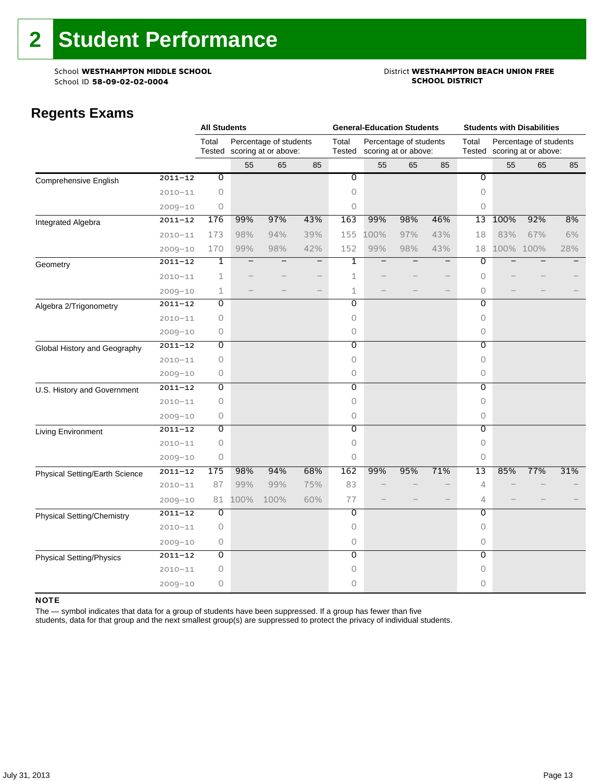### School **WESTHAMPTON MIDDLE SCHOOL**<br>School ID 58-09-02-020404 **District WESTHAMPTON BEACH UNION FREE**

### **Regents Exams**

|                                 |             | <b>All Students</b> |      |                                                       |     |                 | <b>General-Education Students</b> |                                                |                          | <b>Students with Disabilities</b> |                                                       |           |     |  |
|---------------------------------|-------------|---------------------|------|-------------------------------------------------------|-----|-----------------|-----------------------------------|------------------------------------------------|--------------------------|-----------------------------------|-------------------------------------------------------|-----------|-----|--|
|                                 |             | Total               |      | Percentage of students<br>Tested scoring at or above: |     | Total<br>Tested |                                   | Percentage of students<br>scoring at or above: |                          | Total                             | Percentage of students<br>Tested scoring at or above: |           |     |  |
|                                 |             |                     | 55   | 65                                                    | 85  |                 | 55                                | 65                                             | 85                       |                                   | 55                                                    | 65        | 85  |  |
| Comprehensive English           | $2011 - 12$ | $\overline{0}$      |      |                                                       |     | $\overline{0}$  |                                   |                                                |                          | $\overline{\mathfrak{o}}$         |                                                       |           |     |  |
|                                 | $2010 - 11$ | $\circ$             |      |                                                       |     | $\circ$         |                                   |                                                |                          | 0                                 |                                                       |           |     |  |
|                                 | $2009 - 10$ | 0                   |      |                                                       |     | 0               |                                   |                                                |                          | 0                                 |                                                       |           |     |  |
| Integrated Algebra              | $2011 - 12$ | 176                 | 99%  | 97%                                                   | 43% | 163             | 99%                               | 98%                                            | 46%                      | 13                                | 100%                                                  | 92%       | 8%  |  |
|                                 | $2010 - 11$ | 173                 | 98%  | 94%                                                   | 39% | 155             | 100%                              | 97%                                            | 43%                      | 18                                | 83%                                                   | 67%       | 6%  |  |
|                                 | $2009 - 10$ | 170                 | 99%  | 98%                                                   | 42% | 152             | 99%                               | 98%                                            | 43%                      | 18                                |                                                       | 100% 100% | 28% |  |
| Geometry                        | $2011 - 12$ | 1                   |      |                                                       |     | 1               |                                   |                                                | $\overline{\phantom{0}}$ | 0                                 |                                                       |           |     |  |
|                                 | $2010 - 11$ | $\mathbf 1$         |      |                                                       |     | $\mathbf{1}$    |                                   |                                                |                          | 0                                 |                                                       |           |     |  |
|                                 | $2009 - 10$ | 1                   |      |                                                       |     | $\mathbf{1}$    |                                   |                                                | $\qquad \qquad -$        | 0                                 |                                                       |           |     |  |
| Algebra 2/Trigonometry          | $2011 - 12$ | $\overline{0}$      |      |                                                       |     | $\overline{0}$  |                                   |                                                |                          | $\overline{0}$                    |                                                       |           |     |  |
|                                 | $2010 - 11$ | $\circ$             |      |                                                       |     | 0               |                                   |                                                |                          | 0                                 |                                                       |           |     |  |
|                                 | $2009 - 10$ | 0                   |      |                                                       |     | 0               |                                   |                                                |                          | 0                                 |                                                       |           |     |  |
| Global History and Geography    | $2011 - 12$ | 0                   |      |                                                       |     | 0               |                                   |                                                |                          | 0                                 |                                                       |           |     |  |
|                                 | $2010 - 11$ | $\circ$             |      |                                                       |     | 0               |                                   |                                                |                          | 0                                 |                                                       |           |     |  |
|                                 | $2009 - 10$ | $\circ$             |      |                                                       |     | 0               |                                   |                                                |                          | 0                                 |                                                       |           |     |  |
| U.S. History and Government     | $2011 - 12$ | $\overline{0}$      |      |                                                       |     | $\overline{0}$  |                                   |                                                |                          | $\overline{0}$                    |                                                       |           |     |  |
|                                 | $2010 - 11$ | 0                   |      |                                                       |     | 0               |                                   |                                                |                          | 0                                 |                                                       |           |     |  |
|                                 | $2009 - 10$ | 0                   |      |                                                       |     | 0               |                                   |                                                |                          | 0                                 |                                                       |           |     |  |
| Living Environment              | $2011 - 12$ | Ō                   |      |                                                       |     | 0               |                                   |                                                |                          | $\overline{0}$                    |                                                       |           |     |  |
|                                 | $2010 - 11$ | $\circ$             |      |                                                       |     | 0               |                                   |                                                |                          | 0                                 |                                                       |           |     |  |
|                                 | $2009 - 10$ | $\circ$             |      |                                                       |     | 0               |                                   |                                                |                          | 0                                 |                                                       |           |     |  |
| Physical Setting/Earth Science  | $2011 - 12$ | 175                 | 98%  | 94%                                                   | 68% | 162             | 99%                               | 95%                                            | 71%                      | 13                                | 85%                                                   | 77%       | 31% |  |
|                                 | $2010 - 11$ | 87                  | 99%  | 99%                                                   | 75% | 83              |                                   |                                                |                          | 4                                 |                                                       |           |     |  |
|                                 | $2009 - 10$ | 81                  | 100% | 100%                                                  | 60% | 77              |                                   |                                                |                          | 4                                 |                                                       |           |     |  |
| Physical Setting/Chemistry      | $2011 - 12$ | O                   |      |                                                       |     | O               |                                   |                                                |                          | 0                                 |                                                       |           |     |  |
|                                 | $2010 - 11$ | 0                   |      |                                                       |     | 0               |                                   |                                                |                          | 0                                 |                                                       |           |     |  |
|                                 | $2009 - 10$ | 0                   |      |                                                       |     | 0               |                                   |                                                |                          | 0                                 |                                                       |           |     |  |
| <b>Physical Setting/Physics</b> | $2011 - 12$ | $\overline{0}$      |      |                                                       |     | $\overline{0}$  |                                   |                                                |                          | $\overline{0}$                    |                                                       |           |     |  |
|                                 | $2010 - 11$ | $\circ$             |      |                                                       |     | 0               |                                   |                                                |                          | 0                                 |                                                       |           |     |  |
|                                 | $2009 - 10$ | $\circ$             |      |                                                       |     | $\Omega$        |                                   |                                                |                          | 0                                 |                                                       |           |     |  |

#### NOTE

The — symbol indicates that data for a group of students have been suppressed. If a group has fewer than five